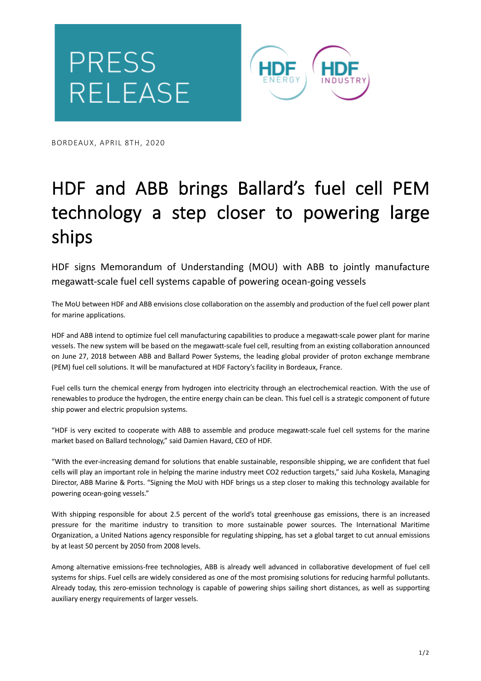

BORDEAUX, APRIL 8TH, 2020

## HDF and ABB brings Ballard's fuel cell PEM technology a step closer to powering large ships

HDF signs Memorandum of Understanding (MOU) with ABB to jointly manufacture megawatt-scale fuel cell systems capable of powering ocean-going vessels

The MoU between HDF and ABB envisions close collaboration on the assembly and production of the fuel cell power plant for marine applications.

HDF and ABB intend to optimize fuel cell manufacturing capabilities to produce a megawatt-scale power plant for marine vessels. The new system will be based on the megawatt-scale fuel cell, resulting from an existing collaboration announced on June 27, 2018 between ABB and Ballard Power Systems, the leading global provider of proton exchange membrane (PEM) fuel cell solutions. It will be manufactured at HDF Factory's facility in Bordeaux, France.

Fuel cells turn the chemical energy from hydrogen into electricity through an electrochemical reaction. With the use of renewables to produce the hydrogen, the entire energy chain can be clean. This fuel cell is a strategic component of future ship power and electric propulsion systems.

"HDF is very excited to cooperate with ABB to assemble and produce megawatt-scale fuel cell systems for the marine market based on Ballard technology," said Damien Havard, CEO of HDF.

"With the ever-increasing demand for solutions that enable sustainable, responsible shipping, we are confident that fuel cells will play an important role in helping the marine industry meet CO2 reduction targets," said Juha Koskela, Managing Director, ABB Marine & Ports. "Signing the MoU with HDF brings us a step closer to making this technology available for powering ocean-going vessels."

With shipping responsible for about 2.5 percent of the world's total greenhouse gas emissions, there is an increased pressure for the maritime industry to transition to more sustainable power sources. The International Maritime Organization, a United Nations agency responsible for regulating shipping, has set a global target to cut annual emissions by at least 50 percent by 2050 from 2008 levels.

Among alternative emissions-free technologies, ABB is already well advanced in collaborative development of fuel cell systems for ships. Fuel cells are widely considered as one of the most promising solutions for reducing harmful pollutants. Already today, this zero-emission technology is capable of powering ships sailing short distances, as well as supporting auxiliary energy requirements of larger vessels.